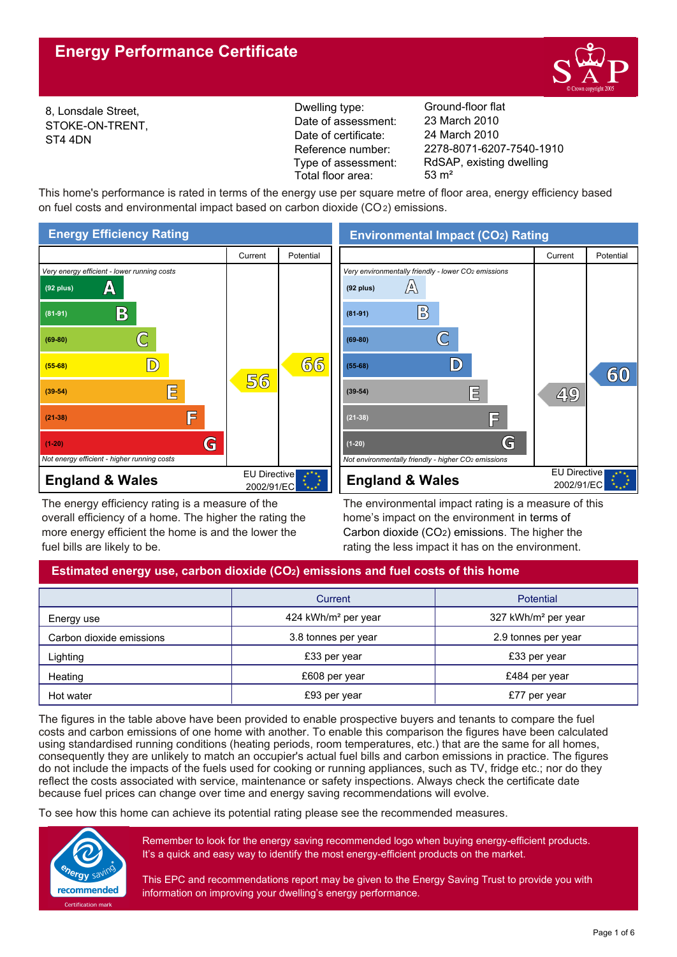

8, Lonsdale Street, STOKE-ON-TRENT, ST4 4DN

Reference number: Dwelling type: Ground-floor flat Date of certificate: Date of assessment: Type of assessment: Total floor area: 53 m<sup>2</sup>

2278-8071-6207-7540-1910 24 March 2010 23 March 2010 RdSAP, existing dwelling

This home's performance is rated in terms of the energy use per square metre of floor area, energy efficiency based on fuel costs and environmental impact based on carbon dioxide (CO2) emissions.



The energy efficiency rating is a measure of the overall efficiency of a home. The higher the rating the more energy efficient the home is and the lower the fuel bills are likely to be.

**Environmental Impact (CO2) Rating**



The environmental impact rating is a measure of this home's impact on the environment in terms of Carbon dioxide (CO2) emissions. The higher the rating the less impact it has on the environment.

# **Estimated energy use, carbon dioxide (CO2) emissions and fuel costs of this home**

|                          | Current                         | Potential                       |
|--------------------------|---------------------------------|---------------------------------|
| Energy use               | 424 kWh/m <sup>2</sup> per year | 327 kWh/m <sup>2</sup> per year |
| Carbon dioxide emissions | 3.8 tonnes per year             | 2.9 tonnes per year             |
| Lighting                 | £33 per year                    | £33 per year                    |
| Heating                  | £608 per year                   | £484 per year                   |
| Hot water                | £93 per year                    | £77 per year                    |

The figures in the table above have been provided to enable prospective buyers and tenants to compare the fuel costs and carbon emissions of one home with another. To enable this comparison the figures have been calculated using standardised running conditions (heating periods, room temperatures, etc.) that are the same for all homes, consequently they are unlikely to match an occupier's actual fuel bills and carbon emissions in practice. The figures do not include the impacts of the fuels used for cooking or running appliances, such as TV, fridge etc.; nor do they reflect the costs associated with service, maintenance or safety inspections. Always check the certificate date because fuel prices can change over time and energy saving recommendations will evolve.

To see how this home can achieve its potential rating please see the recommended measures.



Remember to look for the energy saving recommended logo when buying energy-efficient products. It's a quick and easy way to identify the most energy-efficient products on the market.

This EPC and recommendations report may be given to the Energy Saving Trust to provide you with information on improving your dwelling's energy performance.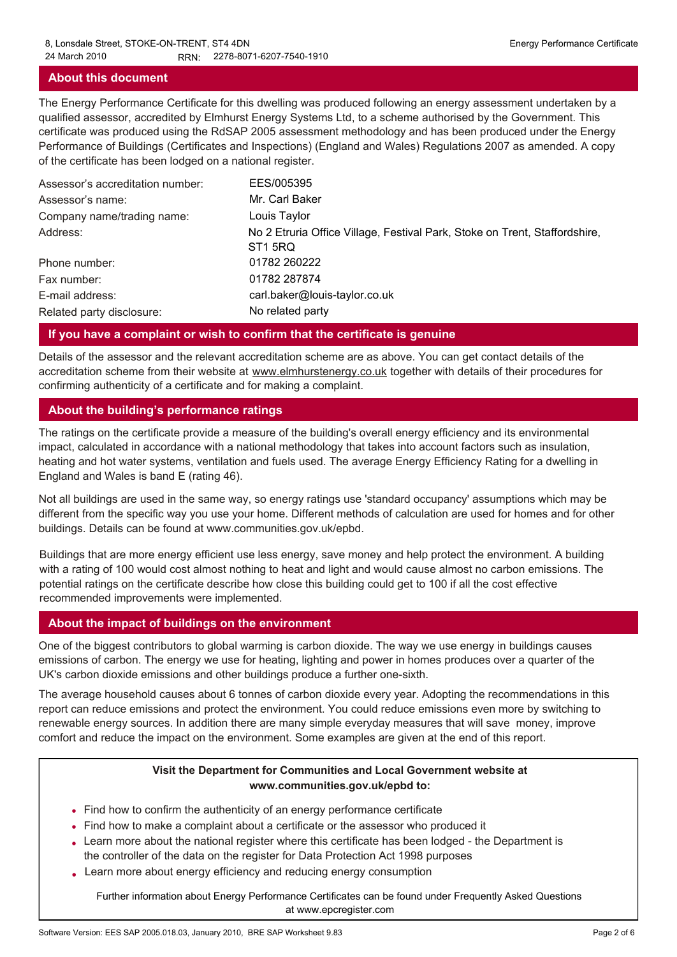### **About this document**

The Energy Performance Certificate for this dwelling was produced following an energy assessment undertaken by a qualified assessor, accredited by Elmhurst Energy Systems Ltd, to a scheme authorised by the Government. This certificate was produced using the RdSAP 2005 assessment methodology and has been produced under the Energy Performance of Buildings (Certificates and Inspections) (England and Wales) Regulations 2007 as amended. A copy of the certificate has been lodged on a national register.

| Assessor's accreditation number: | EES/005395                                                                                        |
|----------------------------------|---------------------------------------------------------------------------------------------------|
| Assessor's name:                 | Mr. Carl Baker                                                                                    |
| Company name/trading name:       | Louis Taylor                                                                                      |
| Address:                         | No 2 Etruria Office Village, Festival Park, Stoke on Trent, Staffordshire,<br>ST <sub>1</sub> 5RQ |
| Phone number:                    | 01782 260222                                                                                      |
| Fax number:                      | 01782 287874                                                                                      |
| E-mail address:                  | carl.baker@louis-taylor.co.uk                                                                     |
| Related party disclosure:        | No related party                                                                                  |

## **If you have a complaint or wish to confirm that the certificate is genuine**

Details of the assessor and the relevant accreditation scheme are as above. You can get contact details of the accreditation scheme from their website at www.elmhurstenergy.co.uk together with details of their procedures for confirming authenticity of a certificate and for making a complaint.

## **About the building's performance ratings**

The ratings on the certificate provide a measure of the building's overall energy efficiency and its environmental impact, calculated in accordance with a national methodology that takes into account factors such as insulation, heating and hot water systems, ventilation and fuels used. The average Energy Efficiency Rating for a dwelling in England and Wales is band E (rating 46).

Not all buildings are used in the same way, so energy ratings use 'standard occupancy' assumptions which may be different from the specific way you use your home. Different methods of calculation are used for homes and for other buildings. Details can be found at www.communities.gov.uk/epbd.

Buildings that are more energy efficient use less energy, save money and help protect the environment. A building with a rating of 100 would cost almost nothing to heat and light and would cause almost no carbon emissions. The potential ratings on the certificate describe how close this building could get to 100 if all the cost effective recommended improvements were implemented.

## **About the impact of buildings on the environment**

One of the biggest contributors to global warming is carbon dioxide. The way we use energy in buildings causes emissions of carbon. The energy we use for heating, lighting and power in homes produces over a quarter of the UK's carbon dioxide emissions and other buildings produce a further one-sixth.

The average household causes about 6 tonnes of carbon dioxide every year. Adopting the recommendations in this report can reduce emissions and protect the environment. You could reduce emissions even more by switching to renewable energy sources. In addition there are many simple everyday measures that will save money, improve comfort and reduce the impact on the environment. Some examples are given at the end of this report.

### **Visit the Department for Communities and Local Government website at www.communities.gov.uk/epbd to:**

- Find how to confirm the authenticity of an energy performance certificate •
- Find how to make a complaint about a certificate or the assessor who produced it •
- Learn more about the national register where this certificate has been lodged the Department is the controller of the data on the register for Data Protection Act 1998 purposes
- Learn more about energy efficiency and reducing energy consumption •

Further information about Energy Performance Certificates can be found under Frequently Asked Questions at www.epcregister.com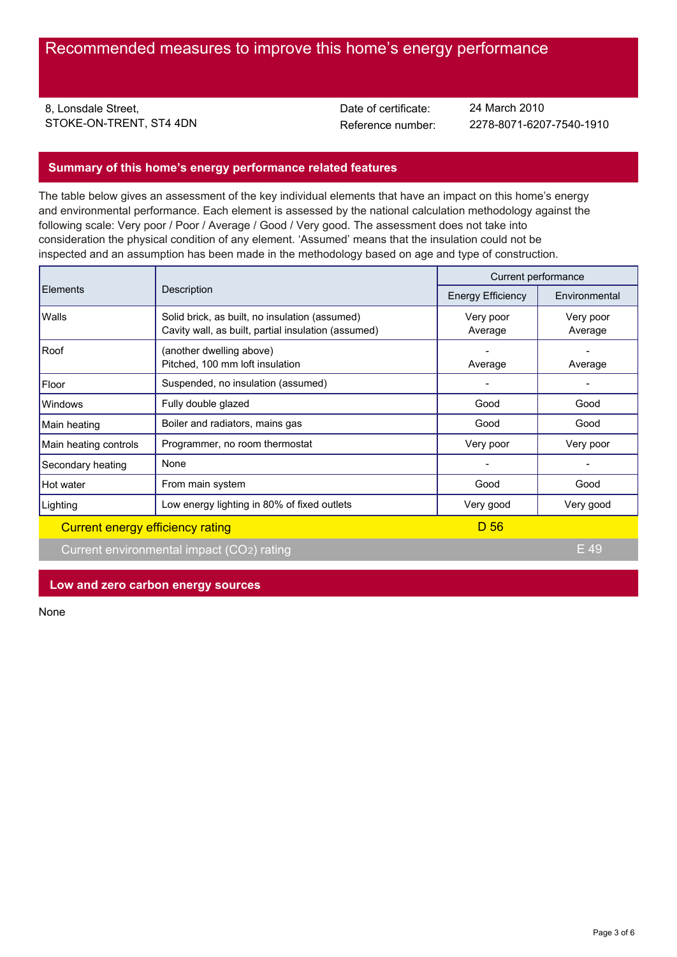8, Lonsdale Street, STOKE-ON-TRENT, ST4 4DN<br>
Reference number:

Date of certificate:

Reference number: 2278-8071-6207-7540-1910 24 March 2010

## **Summary of this home's energy performance related features**

The table below gives an assessment of the key individual elements that have an impact on this home's energy and environmental performance. Each element is assessed by the national calculation methodology against the following scale: Very poor / Poor / Average / Good / Very good. The assessment does not take into consideration the physical condition of any element. 'Assumed' means that the insulation could not be inspected and an assumption has been made in the methodology based on age and type of construction.

|                                  | Description                                                                                           | Current performance      |                      |
|----------------------------------|-------------------------------------------------------------------------------------------------------|--------------------------|----------------------|
| <b>Elements</b>                  |                                                                                                       | <b>Energy Efficiency</b> | Environmental        |
| Walls                            | Solid brick, as built, no insulation (assumed)<br>Cavity wall, as built, partial insulation (assumed) | Very poor<br>Average     | Very poor<br>Average |
| Roof                             | (another dwelling above)<br>Pitched, 100 mm loft insulation                                           | Average                  | Average              |
| Floor                            | Suspended, no insulation (assumed)                                                                    |                          |                      |
| Windows                          | Fully double glazed                                                                                   | Good                     | Good                 |
| Main heating                     | Boiler and radiators, mains gas                                                                       | Good                     | Good                 |
| Main heating controls            | Programmer, no room thermostat                                                                        | Very poor                | Very poor            |
| Secondary heating                | None                                                                                                  |                          |                      |
| Hot water                        | From main system                                                                                      | Good                     | Good                 |
| Lighting                         | Low energy lighting in 80% of fixed outlets                                                           | Very good                | Very good            |
| Current energy efficiency rating |                                                                                                       | D <sub>56</sub>          |                      |

Current environmental impact (CO2) rating E 49

## **Low and zero carbon energy sources**

None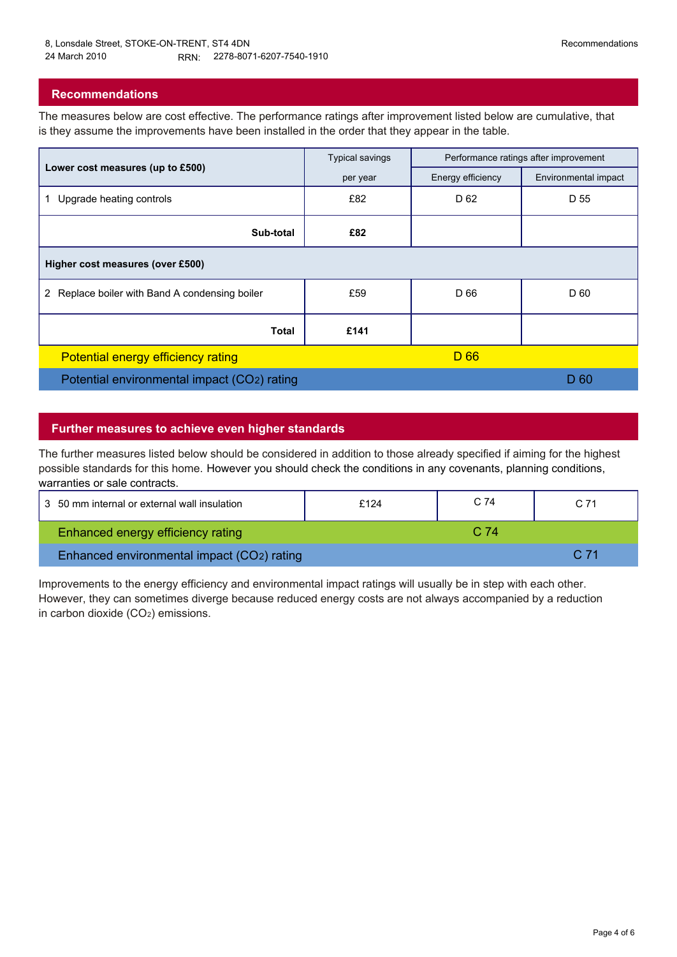## **Recommendations**

The measures below are cost effective. The performance ratings after improvement listed below are cumulative, that is they assume the improvements have been installed in the order that they appear in the table.

|                                                | <b>Typical savings</b> | Performance ratings after improvement |                      |
|------------------------------------------------|------------------------|---------------------------------------|----------------------|
| Lower cost measures (up to £500)               | per year               | Energy efficiency                     | Environmental impact |
| Upgrade heating controls                       | £82                    | D 62                                  | D 55                 |
| Sub-total                                      | £82                    |                                       |                      |
| Higher cost measures (over £500)               |                        |                                       |                      |
| 2 Replace boiler with Band A condensing boiler | £59                    | D 66                                  | D 60                 |
| <b>Total</b>                                   | £141                   |                                       |                      |
| Potential energy efficiency rating             |                        | D 66                                  |                      |
| Potential environmental impact (CO2) rating    |                        |                                       | D 60                 |

### **Further measures to achieve even higher standards**

The further measures listed below should be considered in addition to those already specified if aiming for the highest possible standards for this home. However you should check the conditions in any covenants, planning conditions, warranties or sale contracts.

| 3 50 mm internal or external wall insulation | £124 | C 74 | C 71 |  |
|----------------------------------------------|------|------|------|--|
| <b>Enhanced energy efficiency rating</b>     |      | C 74 |      |  |
| Enhanced environmental impact (CO2) rating   |      |      | C.71 |  |
|                                              |      |      |      |  |

Improvements to the energy efficiency and environmental impact ratings will usually be in step with each other. However, they can sometimes diverge because reduced energy costs are not always accompanied by a reduction in carbon dioxide (CO2) emissions.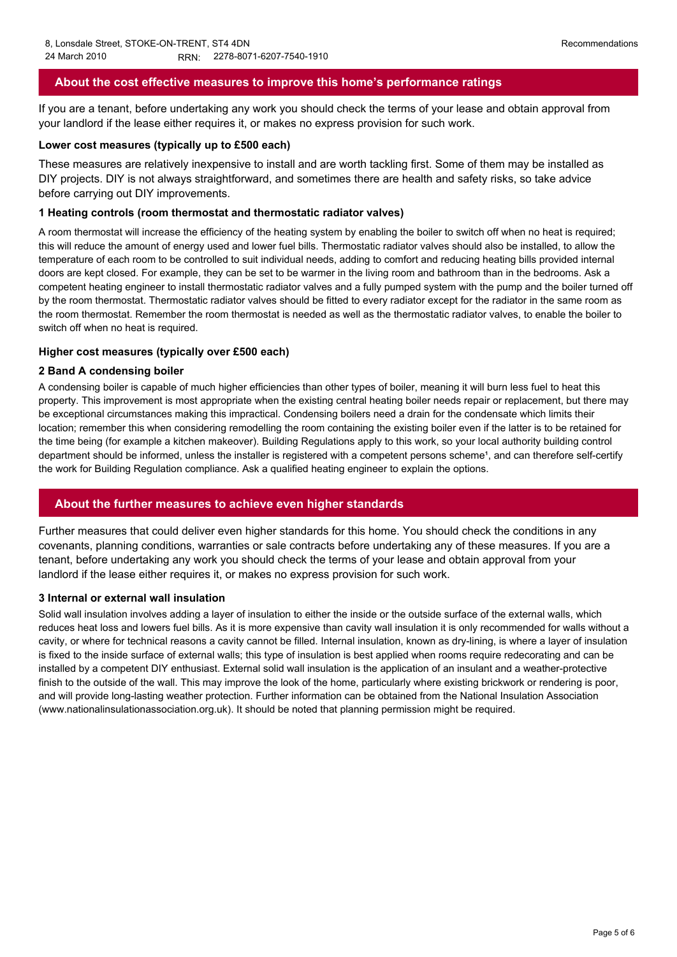## **About the cost effective measures to improve this home's performance ratings**

If you are a tenant, before undertaking any work you should check the terms of your lease and obtain approval from your landlord if the lease either requires it, or makes no express provision for such work.

#### **Lower cost measures (typically up to £500 each)**

These measures are relatively inexpensive to install and are worth tackling first. Some of them may be installed as DIY projects. DIY is not always straightforward, and sometimes there are health and safety risks, so take advice before carrying out DIY improvements.

#### **1 Heating controls (room thermostat and thermostatic radiator valves)**

A room thermostat will increase the efficiency of the heating system by enabling the boiler to switch off when no heat is required; this will reduce the amount of energy used and lower fuel bills. Thermostatic radiator valves should also be installed, to allow the temperature of each room to be controlled to suit individual needs, adding to comfort and reducing heating bills provided internal doors are kept closed. For example, they can be set to be warmer in the living room and bathroom than in the bedrooms. Ask a competent heating engineer to install thermostatic radiator valves and a fully pumped system with the pump and the boiler turned off by the room thermostat. Thermostatic radiator valves should be fitted to every radiator except for the radiator in the same room as the room thermostat. Remember the room thermostat is needed as well as the thermostatic radiator valves, to enable the boiler to switch off when no heat is required.

#### **Higher cost measures (typically over £500 each)**

#### **2 Band A condensing boiler**

A condensing boiler is capable of much higher efficiencies than other types of boiler, meaning it will burn less fuel to heat this property. This improvement is most appropriate when the existing central heating boiler needs repair or replacement, but there may be exceptional circumstances making this impractical. Condensing boilers need a drain for the condensate which limits their location; remember this when considering remodelling the room containing the existing boiler even if the latter is to be retained for the time being (for example a kitchen makeover). Building Regulations apply to this work, so your local authority building control department should be informed, unless the installer is registered with a competent persons scheme<sup>1</sup>, and can therefore self-certify the work for Building Regulation compliance. Ask a qualified heating engineer to explain the options.

#### **About the further measures to achieve even higher standards**

Further measures that could deliver even higher standards for this home. You should check the conditions in any covenants, planning conditions, warranties or sale contracts before undertaking any of these measures. If you are a tenant, before undertaking any work you should check the terms of your lease and obtain approval from your landlord if the lease either requires it, or makes no express provision for such work.

#### **3 Internal or external wall insulation**

Solid wall insulation involves adding a layer of insulation to either the inside or the outside surface of the external walls, which reduces heat loss and lowers fuel bills. As it is more expensive than cavity wall insulation it is only recommended for walls without a cavity, or where for technical reasons a cavity cannot be filled. Internal insulation, known as dry-lining, is where a layer of insulation is fixed to the inside surface of external walls; this type of insulation is best applied when rooms require redecorating and can be installed by a competent DIY enthusiast. External solid wall insulation is the application of an insulant and a weather-protective finish to the outside of the wall. This may improve the look of the home, particularly where existing brickwork or rendering is poor, and will provide long-lasting weather protection. Further information can be obtained from the National Insulation Association (www.nationalinsulationassociation.org.uk). It should be noted that planning permission might be required.